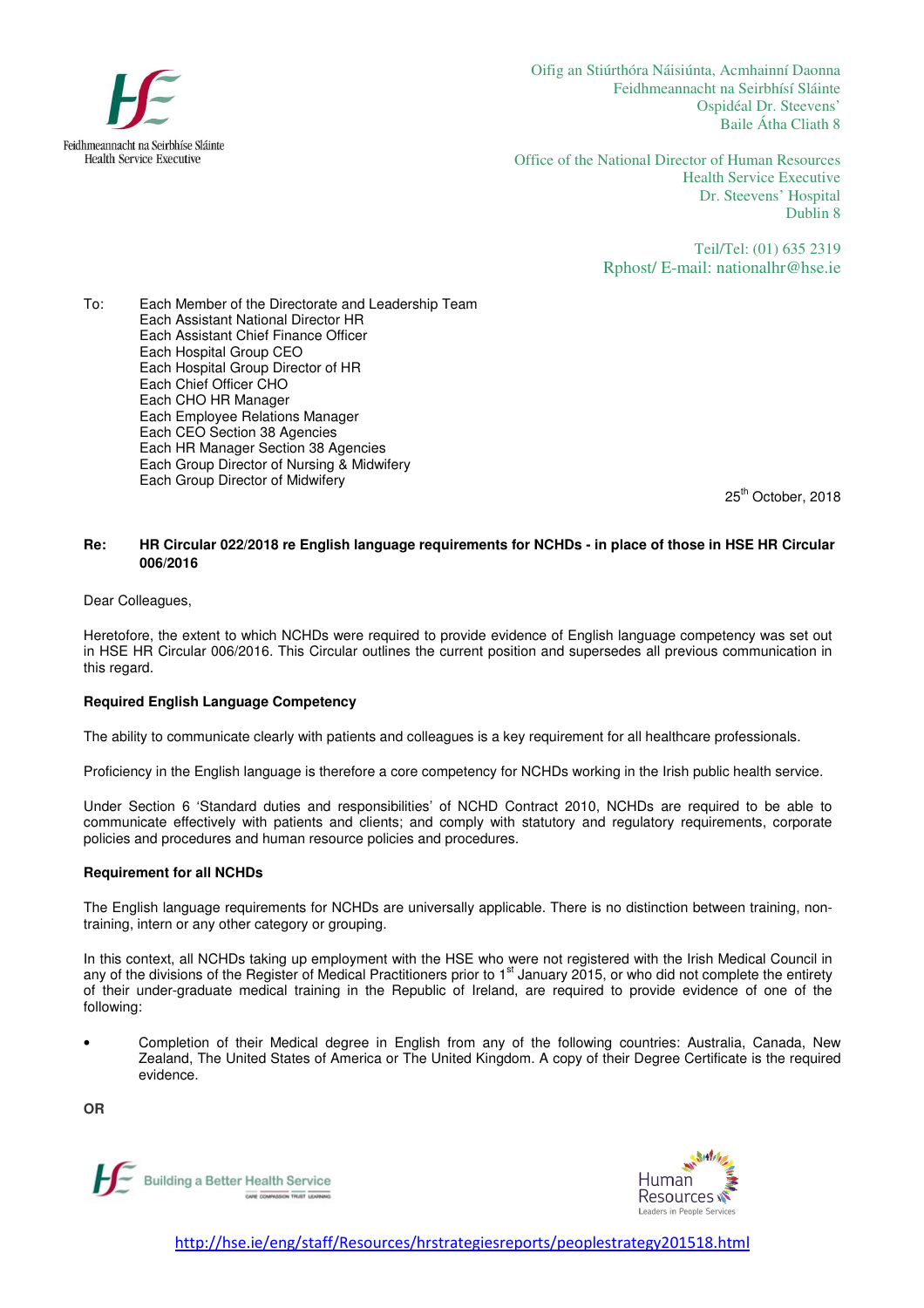

Oifig an Stiúrthóra Náisiúnta, Acmhainní Daonna Feidhmeannacht na Seirbhísí Sláinte Ospidéal Dr. Steevens' Baile Átha Cliath 8

Office of the National Director of Human Resources Health Service Executive Dr. Steevens' Hospital Dublin 8

> Teil/Tel: (01) 635 2319 Rphost/ E-mail: nationalhr@hse.ie

To: Each Member of the Directorate and Leadership Team Each Assistant National Director HR Each Assistant Chief Finance Officer Each Hospital Group CEO Each Hospital Group Director of HR Each Chief Officer CHO Each CHO HR Manager Each Employee Relations Manager Each CEO Section 38 Agencies Each HR Manager Section 38 Agencies Each Group Director of Nursing & Midwifery Each Group Director of Midwifery

25<sup>th</sup> October, 2018

## **Re: HR Circular 022/2018 re English language requirements for NCHDs - in place of those in HSE HR Circular 006/2016**

Dear Colleagues,

Heretofore, the extent to which NCHDs were required to provide evidence of English language competency was set out in HSE HR Circular 006/2016. This Circular outlines the current position and supersedes all previous communication in this regard.

# **Required English Language Competency**

The ability to communicate clearly with patients and colleagues is a key requirement for all healthcare professionals.

Proficiency in the English language is therefore a core competency for NCHDs working in the Irish public health service.

Under Section 6 'Standard duties and responsibilities' of NCHD Contract 2010, NCHDs are required to be able to communicate effectively with patients and clients; and comply with statutory and regulatory requirements, corporate policies and procedures and human resource policies and procedures.

### **Requirement for all NCHDs**

The English language requirements for NCHDs are universally applicable. There is no distinction between training, nontraining, intern or any other category or grouping.

In this context, all NCHDs taking up employment with the HSE who were not registered with the Irish Medical Council in any of the divisions of the Register of Medical Practitioners prior to 1<sup>st</sup> January 2015, or who did not complete the entirety of their under-graduate medical training in the Republic of Ireland, are required to provide evidence of one of the following:

• Completion of their Medical degree in English from any of the following countries: Australia, Canada, New Zealand, The United States of America or The United Kingdom. A copy of their Degree Certificate is the required evidence.

**OR** 





http://hse.ie/eng/staff/Resources/hrstrategiesreports/peoplestrategy201518.html